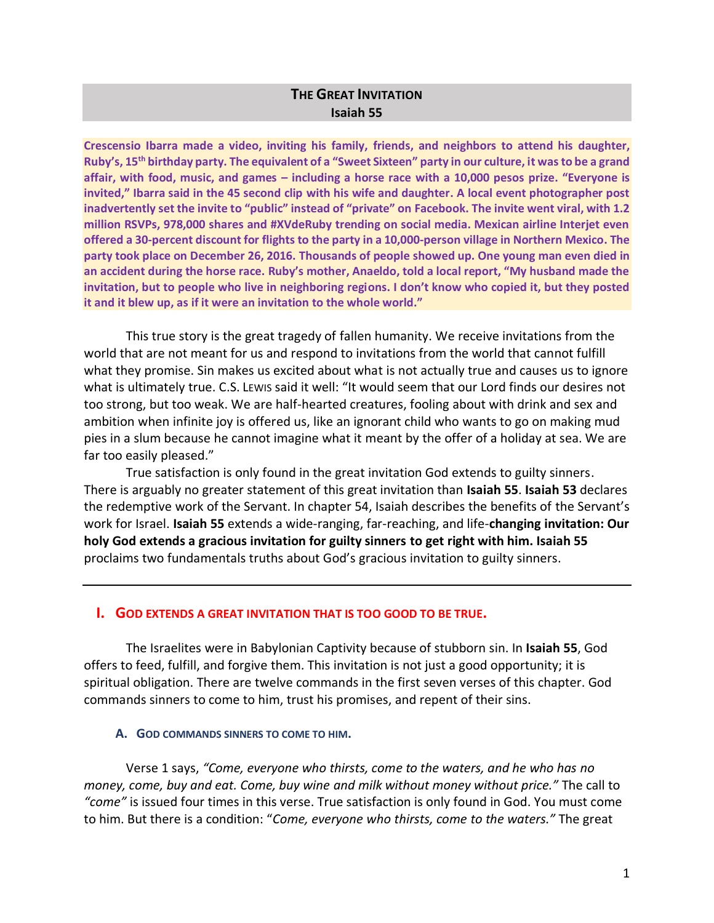# **THE GREAT INVITATION Isaiah 55**

**Crescensio Ibarra made a video, inviting his family, friends, and neighbors to attend his daughter, Ruby's, 15th birthday party. The equivalent of a "Sweet Sixteen" party in our culture, it was to be a grand affair, with food, music, and games – including a horse race with a 10,000 pesos prize. "Everyone is invited," Ibarra said in the 45 second clip with his wife and daughter. A local event photographer post inadvertently set the invite to "public" instead of "private" on Facebook. The invite went viral, with 1.2 million RSVPs, 978,000 shares and #XVdeRuby trending on social media. Mexican airline Interjet even offered a 30-percent discount for flights to the party in a 10,000-person village in Northern Mexico. The party took place on December 26, 2016. Thousands of people showed up. One young man even died in an accident during the horse race. Ruby's mother, Anaeldo, told a local report, "My husband made the invitation, but to people who live in neighboring regions. I don't know who copied it, but they posted it and it blew up, as if it were an invitation to the whole world."** 

This true story is the great tragedy of fallen humanity. We receive invitations from the world that are not meant for us and respond to invitations from the world that cannot fulfill what they promise. Sin makes us excited about what is not actually true and causes us to ignore what is ultimately true. C.S. Lewis said it well: "It would seem that our Lord finds our desires not too strong, but too weak. We are half-hearted creatures, fooling about with drink and sex and ambition when infinite joy is offered us, like an ignorant child who wants to go on making mud pies in a slum because he cannot imagine what it meant by the offer of a holiday at sea. We are far too easily pleased."

True satisfaction is only found in the great invitation God extends to guilty sinners. There is arguably no greater statement of this great invitation than **Isaiah 55**. **Isaiah 53** declares the redemptive work of the Servant. In chapter 54, Isaiah describes the benefits of the Servant's work for Israel. **Isaiah 55** extends a wide-ranging, far-reaching, and life-**changing invitation: Our holy God extends a gracious invitation for guilty sinners to get right with him. Isaiah 55** proclaims two fundamentals truths about God's gracious invitation to guilty sinners.

# **I. GOD EXTENDS A GREAT INVITATION THAT IS TOO GOOD TO BE TRUE.**

The Israelites were in Babylonian Captivity because of stubborn sin. In **Isaiah 55**, God offers to feed, fulfill, and forgive them. This invitation is not just a good opportunity; it is spiritual obligation. There are twelve commands in the first seven verses of this chapter. God commands sinners to come to him, trust his promises, and repent of their sins.

# **A. GOD COMMANDS SINNERS TO COME TO HIM.**

Verse 1 says, *"Come, everyone who thirsts, come to the waters, and he who has no money, come, buy and eat. Come, buy wine and milk without money without price."* The call to *"come"* is issued four times in this verse. True satisfaction is only found in God. You must come to him. But there is a condition: "*Come, everyone who thirsts, come to the waters."* The great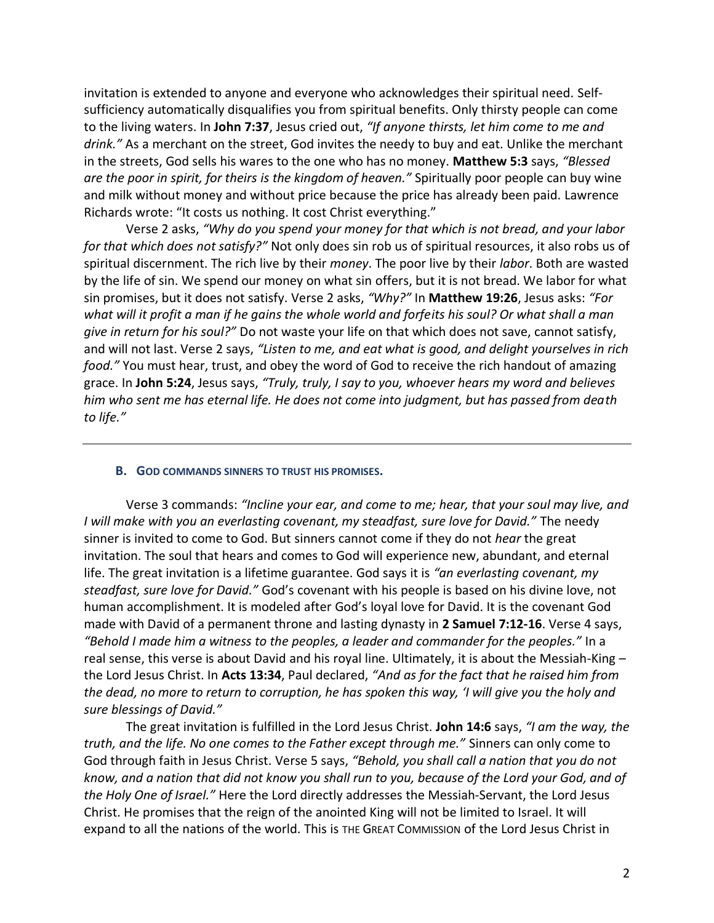invitation is extended to anyone and everyone who acknowledges their spiritual need. Selfsufficiency automatically disqualifies you from spiritual benefits. Only thirsty people can come to the living waters. In **John 7:37**, Jesus cried out, *"If anyone thirsts, let him come to me and drink."* As a merchant on the street, God invites the needy to buy and eat. Unlike the merchant in the streets, God sells his wares to the one who has no money. **Matthew 5:3** says, *"Blessed are the poor in spirit, for theirs is the kingdom of heaven."* Spiritually poor people can buy wine and milk without money and without price because the price has already been paid. Lawrence Richards wrote: "It costs us nothing. It cost Christ everything."

Verse 2 asks, *"Why do you spend your money for that which is not bread, and your labor for that which does not satisfy?"* Not only does sin rob us of spiritual resources, it also robs us of spiritual discernment. The rich live by their *money*. The poor live by their *labor*. Both are wasted by the life of sin. We spend our money on what sin offers, but it is not bread. We labor for what sin promises, but it does not satisfy. Verse 2 asks, *"Why?"* In **Matthew 19:26**, Jesus asks: *"For what will it profit a man if he gains the whole world and forfeits his soul? Or what shall a man give in return for his soul?"* Do not waste your life on that which does not save, cannot satisfy, and will not last. Verse 2 says, *"Listen to me, and eat what is good, and delight yourselves in rich food."* You must hear, trust, and obey the word of God to receive the rich handout of amazing grace. In **John 5:24**, Jesus says, *"Truly, truly, I say to you, whoever hears my word and believes him who sent me has eternal life. He does not come into judgment, but has passed from death to life."* 

#### **B. GOD COMMANDS SINNERS TO TRUST HIS PROMISES.**

Verse 3 commands: *"Incline your ear, and come to me; hear, that your soul may live, and I will make with you an everlasting covenant, my steadfast, sure love for David."* The needy sinner is invited to come to God. But sinners cannot come if they do not *hear* the great invitation. The soul that hears and comes to God will experience new, abundant, and eternal life. The great invitation is a lifetime guarantee. God says it is *"an everlasting covenant, my steadfast, sure love for David."* God's covenant with his people is based on his divine love, not human accomplishment. It is modeled after God's loyal love for David. It is the covenant God made with David of a permanent throne and lasting dynasty in **2 Samuel 7:12-16**. Verse 4 says, *"Behold I made him a witness to the peoples, a leader and commander for the peoples."* In a real sense, this verse is about David and his royal line. Ultimately, it is about the Messiah-King – the Lord Jesus Christ. In **Acts 13:34**, Paul declared, *"And as for the fact that he raised him from the dead, no more to return to corruption, he has spoken this way, 'I will give you the holy and sure blessings of David."*

The great invitation is fulfilled in the Lord Jesus Christ. **John 14:6** says, *"I am the way, the truth, and the life. No one comes to the Father except through me."* Sinners can only come to God through faith in Jesus Christ. Verse 5 says, *"Behold, you shall call a nation that you do not know, and a nation that did not know you shall run to you, because of the Lord your God, and of the Holy One of Israel."* Here the Lord directly addresses the Messiah-Servant, the Lord Jesus Christ. He promises that the reign of the anointed King will not be limited to Israel. It will expand to all the nations of the world. This is THE GREAT COMMISSION of the Lord Jesus Christ in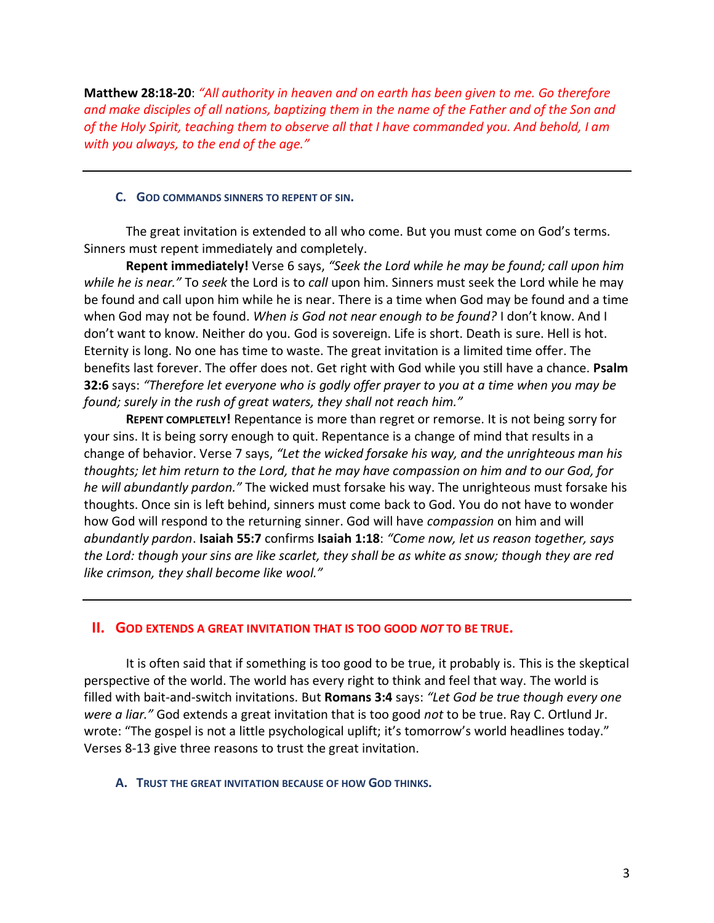**Matthew 28:18-20**: *"All authority in heaven and on earth has been given to me. Go therefore and make disciples of all nations, baptizing them in the name of the Father and of the Son and of the Holy Spirit, teaching them to observe all that I have commanded you. And behold, I am with you always, to the end of the age."*

### **C. GOD COMMANDS SINNERS TO REPENT OF SIN.**

The great invitation is extended to all who come. But you must come on God's terms. Sinners must repent immediately and completely.

**Repent immediately!** Verse 6 says, *"Seek the Lord while he may be found; call upon him while he is near."* To *seek* the Lord is to *call* upon him. Sinners must seek the Lord while he may be found and call upon him while he is near. There is a time when God may be found and a time when God may not be found. *When is God not near enough to be found?* I don't know. And I don't want to know. Neither do you. God is sovereign. Life is short. Death is sure. Hell is hot. Eternity is long. No one has time to waste. The great invitation is a limited time offer. The benefits last forever. The offer does not. Get right with God while you still have a chance. **Psalm 32:6** says: *"Therefore let everyone who is godly offer prayer to you at a time when you may be found; surely in the rush of great waters, they shall not reach him."*

**REPENT COMPLETELY!** Repentance is more than regret or remorse. It is not being sorry for your sins. It is being sorry enough to quit. Repentance is a change of mind that results in a change of behavior. Verse 7 says, *"Let the wicked forsake his way, and the unrighteous man his thoughts; let him return to the Lord, that he may have compassion on him and to our God, for he will abundantly pardon."* The wicked must forsake his way. The unrighteous must forsake his thoughts. Once sin is left behind, sinners must come back to God. You do not have to wonder how God will respond to the returning sinner. God will have *compassion* on him and will *abundantly pardon*. **Isaiah 55:7** confirms **Isaiah 1:18**: *"Come now, let us reason together, says the Lord: though your sins are like scarlet, they shall be as white as snow; though they are red like crimson, they shall become like wool."*

# **II. GOD EXTENDS A GREAT INVITATION THAT IS TOO GOOD** *NOT* **TO BE TRUE.**

It is often said that if something is too good to be true, it probably is. This is the skeptical perspective of the world. The world has every right to think and feel that way. The world is filled with bait-and-switch invitations. But **Romans 3:4** says: *"Let God be true though every one were a liar."* God extends a great invitation that is too good *not* to be true. Ray C. Ortlund Jr. wrote: "The gospel is not a little psychological uplift; it's tomorrow's world headlines today." Verses 8-13 give three reasons to trust the great invitation.

# **A. TRUST THE GREAT INVITATION BECAUSE OF HOW GOD THINKS.**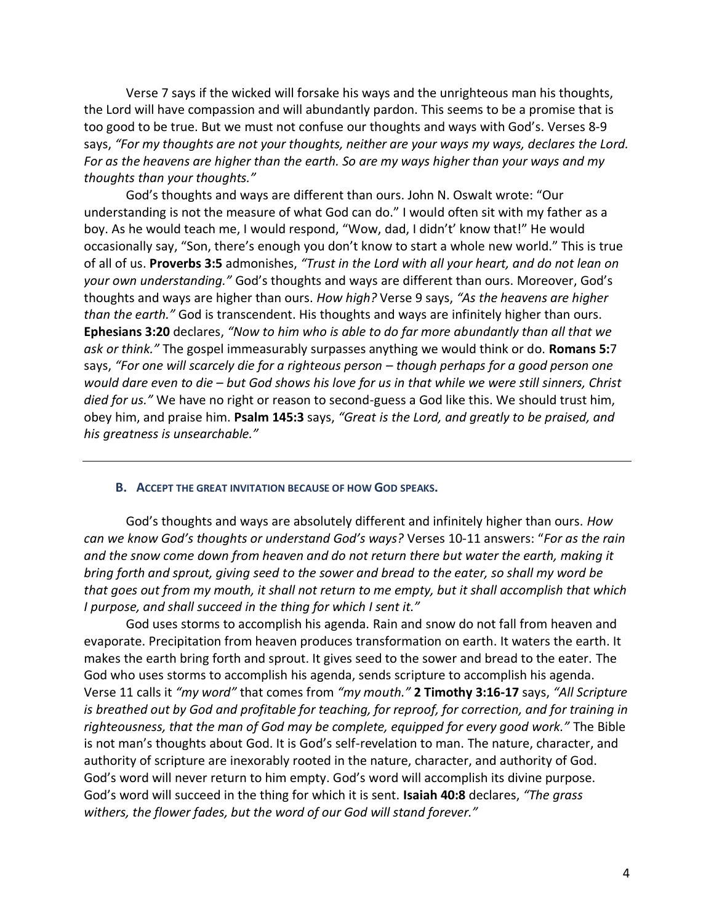Verse 7 says if the wicked will forsake his ways and the unrighteous man his thoughts, the Lord will have compassion and will abundantly pardon. This seems to be a promise that is too good to be true. But we must not confuse our thoughts and ways with God's. Verses 8-9 says, *"For my thoughts are not your thoughts, neither are your ways my ways, declares the Lord. For as the heavens are higher than the earth. So are my ways higher than your ways and my thoughts than your thoughts."*

God's thoughts and ways are different than ours. John N. Oswalt wrote: "Our understanding is not the measure of what God can do." I would often sit with my father as a boy. As he would teach me, I would respond, "Wow, dad, I didn't' know that!" He would occasionally say, "Son, there's enough you don't know to start a whole new world." This is true of all of us. **Proverbs 3:5** admonishes, *"Trust in the Lord with all your heart, and do not lean on your own understanding."* God's thoughts and ways are different than ours. Moreover, God's thoughts and ways are higher than ours. *How high?* Verse 9 says, *"As the heavens are higher than the earth."* God is transcendent. His thoughts and ways are infinitely higher than ours. **Ephesians 3:20** declares, *"Now to him who is able to do far more abundantly than all that we ask or think."* The gospel immeasurably surpasses anything we would think or do. **Romans 5:**7 says, *"For one will scarcely die for a righteous person – though perhaps for a good person one would dare even to die – but God shows his love for us in that while we were still sinners, Christ died for us."* We have no right or reason to second-guess a God like this. We should trust him, obey him, and praise him. **Psalm 145:3** says, *"Great is the Lord, and greatly to be praised, and his greatness is unsearchable."*

#### **B. ACCEPT THE GREAT INVITATION BECAUSE OF HOW GOD SPEAKS.**

God's thoughts and ways are absolutely different and infinitely higher than ours. *How can we know God's thoughts or understand God's ways?* Verses 10-11 answers: "*For as the rain and the snow come down from heaven and do not return there but water the earth, making it bring forth and sprout, giving seed to the sower and bread to the eater, so shall my word be that goes out from my mouth, it shall not return to me empty, but it shall accomplish that which I purpose, and shall succeed in the thing for which I sent it."* 

God uses storms to accomplish his agenda. Rain and snow do not fall from heaven and evaporate. Precipitation from heaven produces transformation on earth. It waters the earth. It makes the earth bring forth and sprout. It gives seed to the sower and bread to the eater. The God who uses storms to accomplish his agenda, sends scripture to accomplish his agenda. Verse 11 calls it *"my word"* that comes from *"my mouth."* **2 Timothy 3:16-17** says, *"All Scripture is breathed out by God and profitable for teaching, for reproof, for correction, and for training in righteousness, that the man of God may be complete, equipped for every good work."* The Bible is not man's thoughts about God. It is God's self-revelation to man. The nature, character, and authority of scripture are inexorably rooted in the nature, character, and authority of God. God's word will never return to him empty. God's word will accomplish its divine purpose. God's word will succeed in the thing for which it is sent. **Isaiah 40:8** declares, *"The grass withers, the flower fades, but the word of our God will stand forever."*